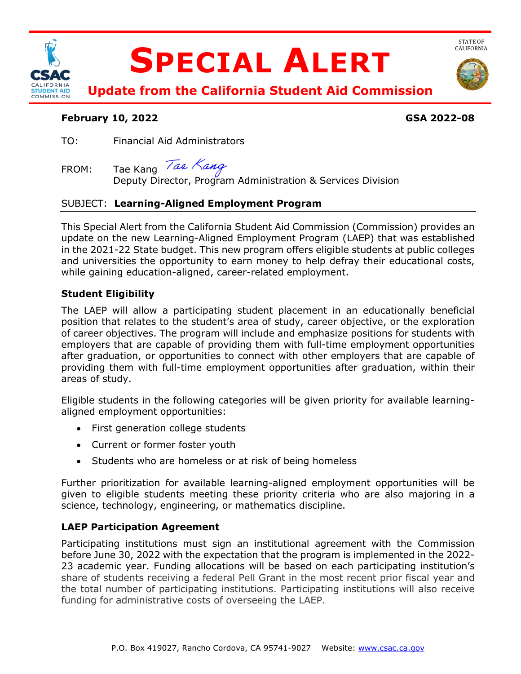

# **SPECIAL ALERT**



STATE OF<br>CALIFORNIA

**Update from the California Student Aid Commission** 

#### **February 10, 2022 GSA 2022-08**

TO: Financial Aid Administrators

## FROM: Tae Kang *Tae Nang*<br>Deputy Director, Program Administration & Services Division

### SUBJECT: **Learning-Aligned Employment Program**

 This Special Alert from the California Student Aid Commission (Commission) provides an update on the new Learning-Aligned Employment Program (LAEP) that was established in the 2021-22 State budget. This new program offers eligible students at public colleges and universities the opportunity to earn money to help defray their educational costs, while gaining education-aligned, career-related employment.

#### **Student Eligibility**

 The LAEP will allow a participating student placement in an educationally beneficial position that relates to the student's area of study, career objective, or the exploration of career objectives. The program will include and emphasize positions for students with employers that are capable of providing them with full-time employment opportunities after graduation, or opportunities to connect with other employers that are capable of providing them with full-time employment opportunities after graduation, within their areas of study.

areas of study.<br>Eligible students in the following categories will be given priority for available learningaligned employment opportunities:

- First generation college students
- Current or former foster youth
- Students who are homeless or at risk of being homeless

 Further prioritization for available learning-aligned employment opportunities will be given to eligible students meeting these priority criteria who are also majoring in a science, technology, engineering, or mathematics discipline.

### **LAEP Participation Agreement**

 Participating institutions must sign an institutional agreement with the Commission before June 30, 2022 with the expectation that the program is implemented in the 2022- 23 academic year. Funding allocations will be based on each participating institution's share of students receiving a federal Pell Grant in the most recent prior fiscal year and the total number of participating institutions. Participating institutions will also receive funding for administrative costs of overseeing the LAEP.